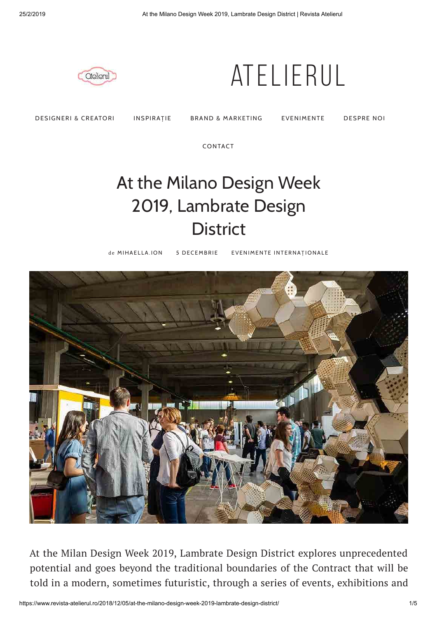

## Atelierul

DESIGNERI & CREATORI INSPIRAȚIE BRAND & MARKETING EVENIMENTE DESPRE NOI

CONTACT

## At the Milano Design Week 2019, Lambrate Design **District**

de MIHAELLA.ION 5 DECEMBRIE EVENIMENTE INTERNAȚIONALE



At the Milan Design Week 2019, Lambrate Design District explores unprecedented potential and goes beyond the traditional boundaries of the Contract that will be told in a modern, sometimes futuristic, through a series of events, exhibitions and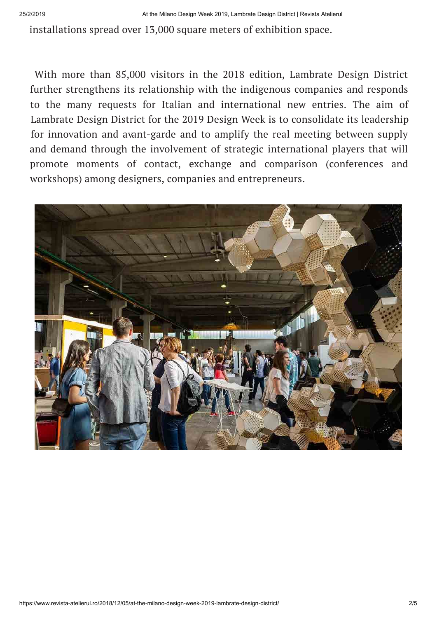installations spread over 13,000 square meters of exhibition space.

With more than 85,000 visitors in the 2018 edition, Lambrate Design District further strengthens its relationship with the indigenous companies and responds to the many requests for Italian and international new entries. The aim of Lambrate Design District for the 2019 Design Week is to consolidate its leadership for innovation and avant-garde and to amplify the real meeting between supply and demand through the involvement of strategic international players that will promote moments of contact, exchange and comparison (conferences and workshops) among designers, companies and entrepreneurs.

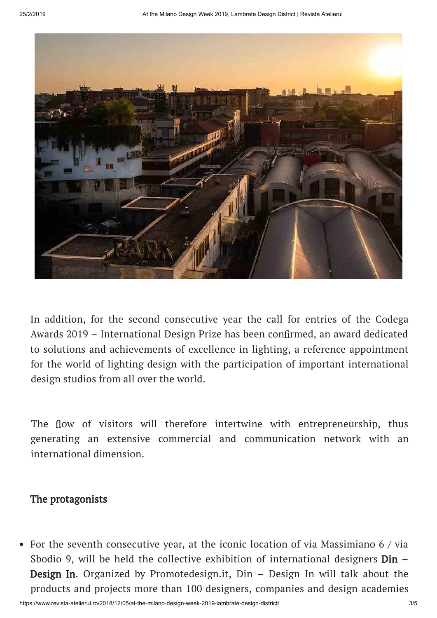

In addition, for the second consecutive year the call for entries of the Codega Awards 2019 – International Design Prize has been confirmed, an award dedicated to solutions and achievements of excellence in lighting, a reference appointment for the world of lighting design with the participation of important international design studios from all over the world.

The flow of visitors will therefore intertwine with entrepreneurship, thus generating an extensive commercial and communication network with an international dimension.

## The protagonists

For the seventh consecutive year, at the iconic location of via Massimiano 6 / via Sbodio 9, will be held the collective exhibition of international designers **Din** – Design In. Organized by Promotedesign.it, Din – Design In will talk about the products and projects more than 100 designers, companies and design academies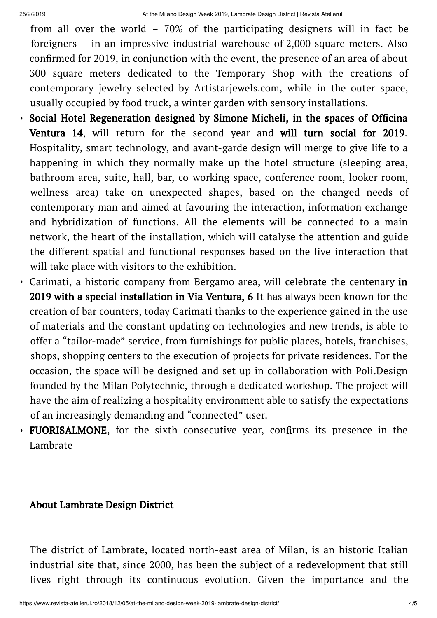from all over the world – 70% of the participating designers will in fact be foreigners – in an impressive industrial warehouse of 2,000 square meters. Also confirmed for 2019, in conjunction with the event, the presence of an area of about 300 square meters dedicated to the Temporary Shop with the creations of contemporary jewelry selected by Artistarjewels.com, while in the outer space, usually occupied by food truck, a winter garden with sensory installations.

- $\overline{S}$  Social Hotel Regeneration designed by Simone Micheli, in the spaces of Officina Ventura 14, will return for the second year and will turn social for 2019. Hospitality, smart technology, and avant-garde design will merge to give life to a happening in which they normally make up the hotel structure (sleeping area, bathroom area, suite, hall, bar, co-working space, conference room, looker room, wellness area) take on unexpected shapes, based on the changed needs of contemporary man and aimed at favouring the interaction, information exchange and hybridization of functions. All the elements will be connected to a main network, the heart of the installation, which will catalyse the attention and guide the different spatial and functional responses based on the live interaction that will take place with visitors to the exhibition.
- Carimati, a historic company from Bergamo area, will celebrate the centenary in 2019 with a special installation in Via Ventura, 6 It has always been known for the creation of bar counters, today Carimati thanks to the experience gained in the use of materials and the constant updating on technologies and new trends, is able to offer a "tailor-made" service, from furnishings for public places, hotels, franchises, shops, shopping centers to the execution of projects for private residences. For the occasion, the space will be designed and set up in collaboration with Poli.Design founded by the Milan Polytechnic, through a dedicated workshop. The project will have the aim of realizing a hospitality environment able to satisfy the expectations of an increasingly demanding and "connected" user.
- FUORISALMONE, for the sixth consecutive year, confirms its presence in the Lambrate

## About Lambrate Design District

The district of Lambrate, located north-east area of Milan, is an historic Italian industrial site that, since 2000, has been the subject of a redevelopment that still lives right through its continuous evolution. Given the importance and the